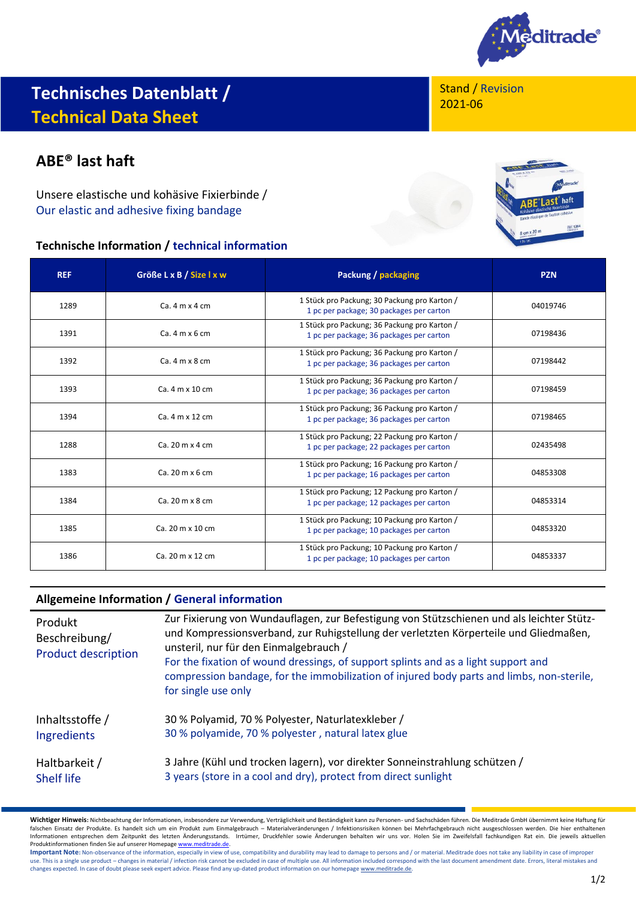

# **Technisches Datenblatt / Technical Data Sheet**

## **ABE® last haft**

Unsere elastische und kohäsive Fixierbinde / Our elastic and adhesive fixing bandage

### **Technische Information / technical information**

Stand / Revision 2021-06



| <b>REF</b> | Größe L x B / Size I x w               | Packung / packaging                                                                      | <b>PZN</b> |
|------------|----------------------------------------|------------------------------------------------------------------------------------------|------------|
| 1289       | Ca.4 m x 4 cm                          | 1 Stück pro Packung; 30 Packung pro Karton /<br>1 pc per package; 30 packages per carton | 04019746   |
| 1391       | $Ca.4 m \times 6 cm$                   | 1 Stück pro Packung; 36 Packung pro Karton /<br>1 pc per package; 36 packages per carton | 07198436   |
| 1392       | $Ca.4 m \times 8 cm$                   | 1 Stück pro Packung; 36 Packung pro Karton /<br>1 pc per package; 36 packages per carton | 07198442   |
| 1393       | Ca. 4 m x 10 cm                        | 1 Stück pro Packung; 36 Packung pro Karton /<br>1 pc per package; 36 packages per carton | 07198459   |
| 1394       | Ca. 4 m x 12 cm                        | 1 Stück pro Packung; 36 Packung pro Karton /<br>1 pc per package; 36 packages per carton | 07198465   |
| 1288       | Ca. $20 \text{ m} \times 4 \text{ cm}$ | 1 Stück pro Packung; 22 Packung pro Karton /<br>1 pc per package; 22 packages per carton | 02435498   |
| 1383       | Ca. 20 m x 6 cm                        | 1 Stück pro Packung; 16 Packung pro Karton /<br>1 pc per package; 16 packages per carton | 04853308   |
| 1384       | Ca. 20 m x 8 cm                        | 1 Stück pro Packung; 12 Packung pro Karton /<br>1 pc per package; 12 packages per carton | 04853314   |
| 1385       | Ca. 20 m x 10 cm                       | 1 Stück pro Packung; 10 Packung pro Karton /<br>1 pc per package; 10 packages per carton | 04853320   |
| 1386       | Ca. 20 m x 12 cm                       | 1 Stück pro Packung; 10 Packung pro Karton /<br>1 pc per package; 10 packages per carton | 04853337   |

### **Allgemeine Information / General information**

| Produkt<br>Beschreibung/<br><b>Product description</b> | Zur Fixierung von Wundauflagen, zur Befestigung von Stützschienen und als leichter Stütz-<br>und Kompressionsverband, zur Ruhigstellung der verletzten Körperteile und Gliedmaßen,<br>unsteril, nur für den Einmalgebrauch /<br>For the fixation of wound dressings, of support splints and as a light support and<br>compression bandage, for the immobilization of injured body parts and limbs, non-sterile,<br>for single use only |
|--------------------------------------------------------|----------------------------------------------------------------------------------------------------------------------------------------------------------------------------------------------------------------------------------------------------------------------------------------------------------------------------------------------------------------------------------------------------------------------------------------|
| Inhaltsstoffe /                                        | 30 % Polyamid, 70 % Polyester, Naturlatexkleber /                                                                                                                                                                                                                                                                                                                                                                                      |
| <b>Ingredients</b>                                     | 30 % polyamide, 70 % polyester, natural latex glue                                                                                                                                                                                                                                                                                                                                                                                     |
| Haltbarkeit /                                          | 3 Jahre (Kühl und trocken lagern), vor direkter Sonneinstrahlung schützen /                                                                                                                                                                                                                                                                                                                                                            |
| <b>Shelf life</b>                                      | 3 years (store in a cool and dry), protect from direct sunlight                                                                                                                                                                                                                                                                                                                                                                        |

Wichtiger Hinweis: Nichtbeachtung der Informationen, insbesondere zur Verwendung, Verträglichkeit und Beständigkeit kann zu Personen- und Sachschäden führen. Die Meditrade GmbH übernimmt keine Haftung für<br>falschen Einsatz Informationen entsprechen dem Zeitpunkt des letzten Änderungsstands. Irrtümer, Druckfehler sowie Änderungen behalten wir uns vor. Holen Sie im Zweifelsfall fachkundigen Rat ein. Die jeweils aktuellen Produktinformationen finden Sie auf unserer Homepag[e www.meditrade.de.](http://www.meditrade.de/)

Important Note: Non-observance of the information, especially in view of use, compatibility and durability may lead to damage to persons and / or material. Meditrade does not take any liability in case of improper use. This is a single use product – changes in material / infection risk cannot be excluded in case of multiple use. All information included correspond with the last document amendment date. Errors, literal mistakes and w changes expected. In case of doubt please seek expert advice. Please find any up-dated product information on our homepag[e www.meditrade.de.](http://www.meditrade.de/)